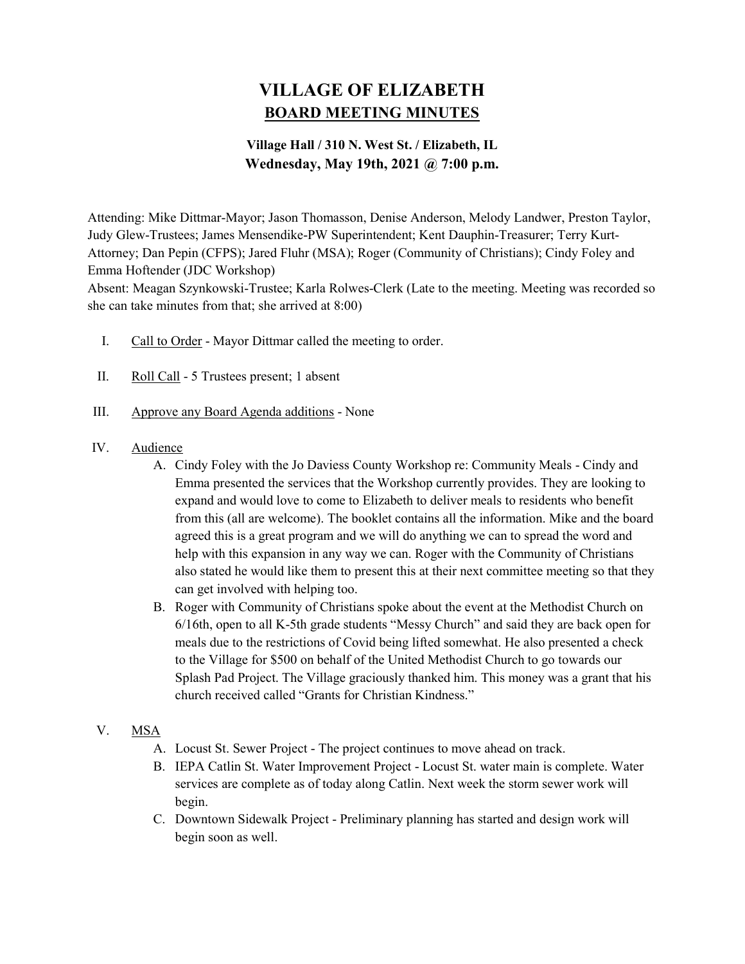# VILLAGE OF ELIZABETH BOARD MEETING MINUTES

## Village Hall / 310 N. West St. / Elizabeth, IL Wednesday, May 19th, 2021 @ 7:00 p.m.

Attending: Mike Dittmar-Mayor; Jason Thomasson, Denise Anderson, Melody Landwer, Preston Taylor, Judy Glew-Trustees; James Mensendike-PW Superintendent; Kent Dauphin-Treasurer; Terry Kurt-Attorney; Dan Pepin (CFPS); Jared Fluhr (MSA); Roger (Community of Christians); Cindy Foley and Emma Hoftender (JDC Workshop)

Absent: Meagan Szynkowski-Trustee; Karla Rolwes-Clerk (Late to the meeting. Meeting was recorded so she can take minutes from that; she arrived at 8:00)

- I. Call to Order Mayor Dittmar called the meeting to order.
- II. Roll Call 5 Trustees present; 1 absent
- III. Approve any Board Agenda additions None
- IV. Audience
	- A. Cindy Foley with the Jo Daviess County Workshop re: Community Meals Cindy and Emma presented the services that the Workshop currently provides. They are looking to expand and would love to come to Elizabeth to deliver meals to residents who benefit from this (all are welcome). The booklet contains all the information. Mike and the board agreed this is a great program and we will do anything we can to spread the word and help with this expansion in any way we can. Roger with the Community of Christians also stated he would like them to present this at their next committee meeting so that they can get involved with helping too.
	- B. Roger with Community of Christians spoke about the event at the Methodist Church on 6/16th, open to all K-5th grade students "Messy Church" and said they are back open for meals due to the restrictions of Covid being lifted somewhat. He also presented a check to the Village for \$500 on behalf of the United Methodist Church to go towards our Splash Pad Project. The Village graciously thanked him. This money was a grant that his church received called "Grants for Christian Kindness."

## V. MSA

- A. Locust St. Sewer Project The project continues to move ahead on track.
- B. IEPA Catlin St. Water Improvement Project Locust St. water main is complete. Water services are complete as of today along Catlin. Next week the storm sewer work will begin.
- C. Downtown Sidewalk Project Preliminary planning has started and design work will begin soon as well.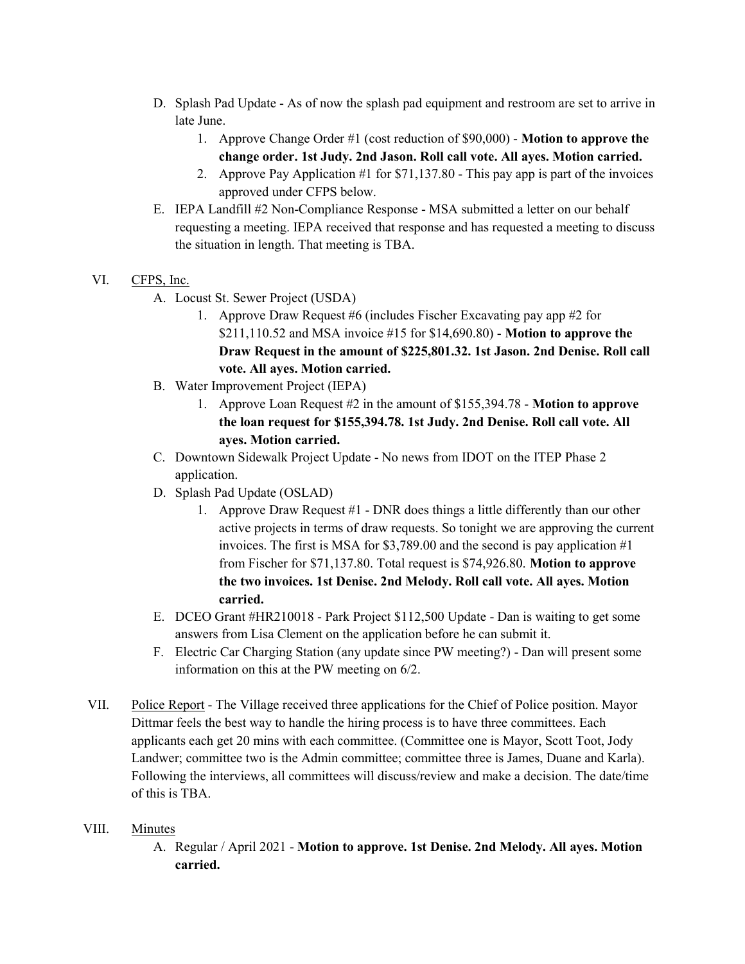- D. Splash Pad Update As of now the splash pad equipment and restroom are set to arrive in late June.
	- 1. Approve Change Order #1 (cost reduction of \$90,000) Motion to approve the change order. 1st Judy. 2nd Jason. Roll call vote. All ayes. Motion carried.
	- 2. Approve Pay Application #1 for \$71,137.80 This pay app is part of the invoices approved under CFPS below.
- E. IEPA Landfill #2 Non-Compliance Response MSA submitted a letter on our behalf requesting a meeting. IEPA received that response and has requested a meeting to discuss the situation in length. That meeting is TBA.
- VI. CFPS, Inc.
	- A. Locust St. Sewer Project (USDA)
		- 1. Approve Draw Request #6 (includes Fischer Excavating pay app #2 for \$211,110.52 and MSA invoice #15 for \$14,690.80) - Motion to approve the Draw Request in the amount of \$225,801.32. 1st Jason. 2nd Denise. Roll call vote. All ayes. Motion carried.
	- B. Water Improvement Project (IEPA)
		- 1. Approve Loan Request #2 in the amount of \$155,394.78 Motion to approve the loan request for \$155,394.78. 1st Judy. 2nd Denise. Roll call vote. All ayes. Motion carried.
	- C. Downtown Sidewalk Project Update No news from IDOT on the ITEP Phase 2 application.
	- D. Splash Pad Update (OSLAD)
		- 1. Approve Draw Request #1 DNR does things a little differently than our other active projects in terms of draw requests. So tonight we are approving the current invoices. The first is MSA for \$3,789.00 and the second is pay application #1 from Fischer for \$71,137.80. Total request is \$74,926.80. Motion to approve the two invoices. 1st Denise. 2nd Melody. Roll call vote. All ayes. Motion carried.
	- E. DCEO Grant #HR210018 Park Project \$112,500 Update Dan is waiting to get some answers from Lisa Clement on the application before he can submit it.
	- F. Electric Car Charging Station (any update since PW meeting?) Dan will present some information on this at the PW meeting on 6/2.
- VII. Police Report The Village received three applications for the Chief of Police position. Mayor Dittmar feels the best way to handle the hiring process is to have three committees. Each applicants each get 20 mins with each committee. (Committee one is Mayor, Scott Toot, Jody Landwer; committee two is the Admin committee; committee three is James, Duane and Karla). Following the interviews, all committees will discuss/review and make a decision. The date/time of this is TBA.

### VIII. Minutes

A. Regular / April 2021 - Motion to approve. 1st Denise. 2nd Melody. All ayes. Motion carried.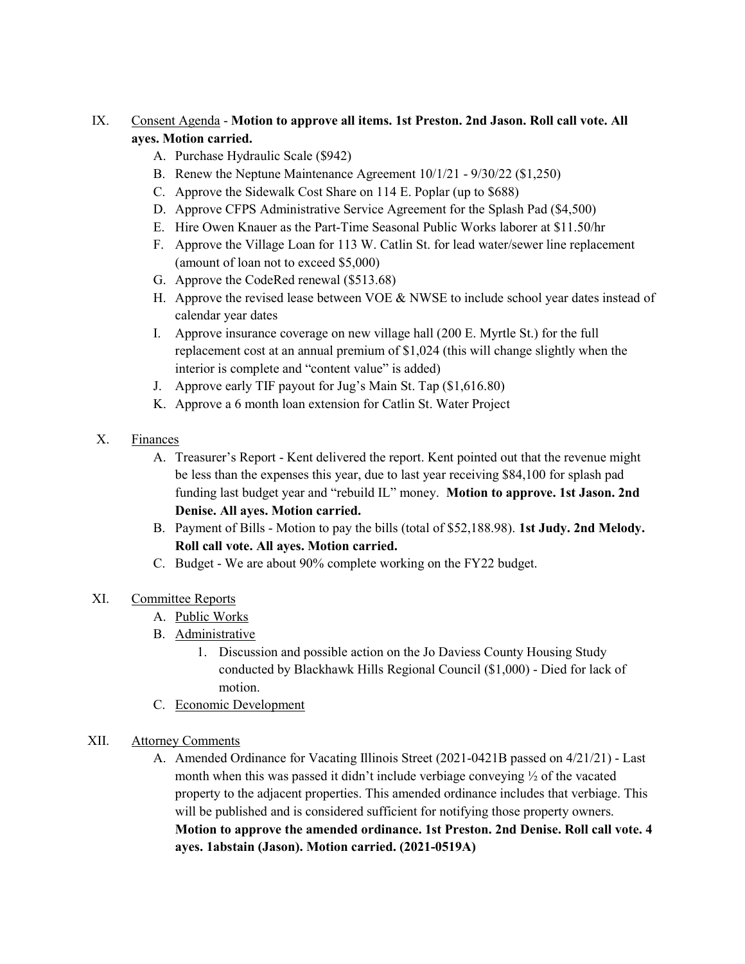## IX. Consent Agenda - Motion to approve all items. 1st Preston. 2nd Jason. Roll call vote. All ayes. Motion carried.

- A. Purchase Hydraulic Scale (\$942)
- B. Renew the Neptune Maintenance Agreement 10/1/21 9/30/22 (\$1,250)
- C. Approve the Sidewalk Cost Share on 114 E. Poplar (up to \$688)
- D. Approve CFPS Administrative Service Agreement for the Splash Pad (\$4,500)
- E. Hire Owen Knauer as the Part-Time Seasonal Public Works laborer at \$11.50/hr
- F. Approve the Village Loan for 113 W. Catlin St. for lead water/sewer line replacement (amount of loan not to exceed \$5,000)
- G. Approve the CodeRed renewal (\$513.68)
- H. Approve the revised lease between VOE & NWSE to include school year dates instead of calendar year dates
- I. Approve insurance coverage on new village hall (200 E. Myrtle St.) for the full replacement cost at an annual premium of \$1,024 (this will change slightly when the interior is complete and "content value" is added)
- J. Approve early TIF payout for Jug's Main St. Tap (\$1,616.80)
- K. Approve a 6 month loan extension for Catlin St. Water Project
- X. Finances
	- A. Treasurer's Report Kent delivered the report. Kent pointed out that the revenue might be less than the expenses this year, due to last year receiving \$84,100 for splash pad funding last budget year and "rebuild IL" money. Motion to approve. 1st Jason. 2nd Denise. All ayes. Motion carried.
	- B. Payment of Bills Motion to pay the bills (total of \$52,188.98). 1st Judy. 2nd Melody. Roll call vote. All ayes. Motion carried.
	- C. Budget We are about 90% complete working on the FY22 budget.

### XI. Committee Reports

- A. Public Works
- B. Administrative
	- 1. Discussion and possible action on the Jo Daviess County Housing Study conducted by Blackhawk Hills Regional Council (\$1,000) - Died for lack of motion.
- C. Economic Development

### XII. Attorney Comments

A. Amended Ordinance for Vacating Illinois Street (2021-0421B passed on 4/21/21) - Last month when this was passed it didn't include verbiage conveying ½ of the vacated property to the adjacent properties. This amended ordinance includes that verbiage. This will be published and is considered sufficient for notifying those property owners. Motion to approve the amended ordinance. 1st Preston. 2nd Denise. Roll call vote. 4 ayes. 1abstain (Jason). Motion carried. (2021-0519A)